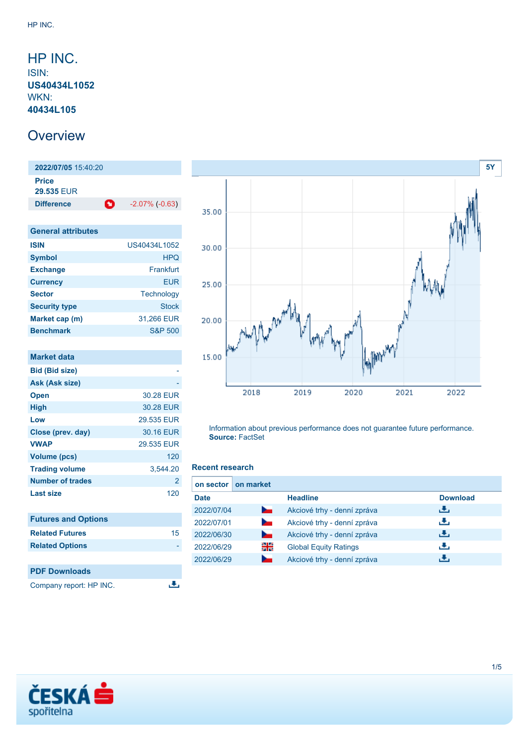## <span id="page-0-0"></span>HP INC. ISIN: **US40434L1052** WKN: **40434L105**

# **Overview**

**2022/07/05** 15:40:20 **Price 29.535** EUR **Difference C** -2.07% (-0.63)

| <b>General attributes</b> |                    |
|---------------------------|--------------------|
| <b>ISIN</b>               | US40434L1052       |
| <b>Symbol</b>             | <b>HPQ</b>         |
| <b>Exchange</b>           | Frankfurt          |
| <b>Currency</b>           | <b>EUR</b>         |
| <b>Sector</b>             | Technology         |
| <b>Security type</b>      | Stock              |
| Market cap (m)            | 31,266 EUR         |
| <b>Benchmark</b>          | <b>S&amp;P 500</b> |

| <b>Market data</b>         |            |
|----------------------------|------------|
| <b>Bid (Bid size)</b>      |            |
| Ask (Ask size)             |            |
| <b>Open</b>                | 30.28 EUR  |
| <b>High</b>                | 30.28 EUR  |
| Low                        | 29.535 EUR |
| Close (prev. day)          | 30.16 EUR  |
| <b>VWAP</b>                | 29.535 EUR |
| <b>Volume (pcs)</b>        | 120        |
| <b>Trading volume</b>      | 3,544.20   |
| <b>Number of trades</b>    | 2          |
| <b>Last size</b>           | 120        |
| <b>Futures and Options</b> |            |
| <b>Related Futures</b>     | 15         |

**PDF Downloads** Company report: HP INC.

**Related Options** 



Information about previous performance does not guarantee future performance. **Source:** FactSet

### **Recent research**

遇

| on sector I | on market      |                              |                 |
|-------------|----------------|------------------------------|-----------------|
| <b>Date</b> |                | <b>Headline</b>              | <b>Download</b> |
| 2022/07/04  | $\sim$         | Akciové trhy - denní zpráva  | æ,              |
| 2022/07/01  | <b>Service</b> | Akciové trhy - denní zpráva  | æ,              |
| 2022/06/30  | <b>Service</b> | Akciové trhy - denní zpráva  | æ,              |
| 2022/06/29  | 읡              | <b>Global Equity Ratings</b> | υ.              |
| 2022/06/29  |                | Akciové trhy - denní zpráva  | ٠₩.             |

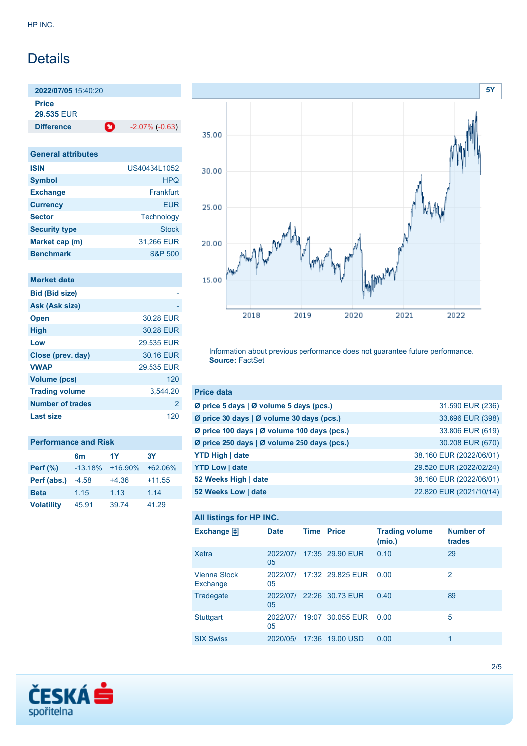# **Details**

**2022/07/05** 15:40:20 **Price**

**29.535** EUR

**Difference** -2.07% (-0.63)

| <b>General attributes</b> |                    |
|---------------------------|--------------------|
| <b>ISIN</b>               | US40434L1052       |
| <b>Symbol</b>             | <b>HPQ</b>         |
| <b>Exchange</b>           | Frankfurt          |
| <b>Currency</b>           | <b>EUR</b>         |
| <b>Sector</b>             | Technology         |
| <b>Security type</b>      | <b>Stock</b>       |
| Market cap (m)            | 31,266 EUR         |
| <b>Benchmark</b>          | <b>S&amp;P 500</b> |

| Market data             |            |
|-------------------------|------------|
| <b>Bid (Bid size)</b>   |            |
| Ask (Ask size)          |            |
| <b>Open</b>             | 30.28 EUR  |
| <b>High</b>             | 30.28 EUR  |
| Low                     | 29.535 EUR |
| Close (prev. day)       | 30.16 EUR  |
| <b>VWAP</b>             | 29.535 EUR |
| <b>Volume (pcs)</b>     | 120        |
| <b>Trading volume</b>   | 3,544.20   |
| <b>Number of trades</b> | 2          |
| <b>Last size</b>        | 120        |

| <b>Performance and Risk</b> |           |            |           |  |
|-----------------------------|-----------|------------|-----------|--|
|                             | 6m        | 1Y         | 3Υ        |  |
| Perf $(\%)$                 | $-13.18%$ | $+16.90\%$ | $+62.06%$ |  |
| Perf (abs.)                 | $-4.58$   | $+4.36$    | $+11.55$  |  |
| <b>Beta</b>                 | 1.15      | 1.13       | 1.14      |  |
| <b>Volatility</b>           | 45.91     | 39.74      | 41.29     |  |



Information about previous performance does not guarantee future performance. **Source:** FactSet

| <b>Price data</b>                                             |                         |
|---------------------------------------------------------------|-------------------------|
| Ø price 5 days   Ø volume 5 days (pcs.)                       | 31.590 EUR (236)        |
| $\emptyset$ price 30 days   $\emptyset$ volume 30 days (pcs.) | 33.696 EUR (398)        |
| Ø price 100 days   Ø volume 100 days (pcs.)                   | 33.806 EUR (619)        |
| Ø price 250 days   Ø volume 250 days (pcs.)                   | 30.208 EUR (670)        |
| <b>YTD High   date</b>                                        | 38.160 EUR (2022/06/01) |
| <b>YTD Low   date</b>                                         | 29.520 EUR (2022/02/24) |
| 52 Weeks High   date                                          | 38.160 EUR (2022/06/01) |
| 52 Weeks Low   date                                           | 22.820 EUR (2021/10/14) |

## **All listings for HP INC.**

| Exchange $\Box$                 | <b>Date</b>    | <b>Time Price</b> |                  | <b>Trading volume</b><br>(mio.) | <b>Number of</b><br>trades |
|---------------------------------|----------------|-------------------|------------------|---------------------------------|----------------------------|
| Xetra                           | 2022/07/<br>05 |                   | 17:35 29.90 EUR  | 0.10                            | 29                         |
| <b>Vienna Stock</b><br>Exchange | 2022/07/<br>05 |                   | 17:32 29.825 EUR | 0.00                            | 2                          |
| Tradegate                       | 2022/07/<br>05 |                   | 22:26 30.73 EUR  | 0.40                            | 89                         |
| <b>Stuttgart</b>                | 2022/07/<br>05 |                   | 19:07 30.055 EUR | 0.00                            | 5                          |
| <b>SIX Swiss</b>                | 2020/05/       |                   | 17:36 19.00 USD  | 0.00                            | 1                          |

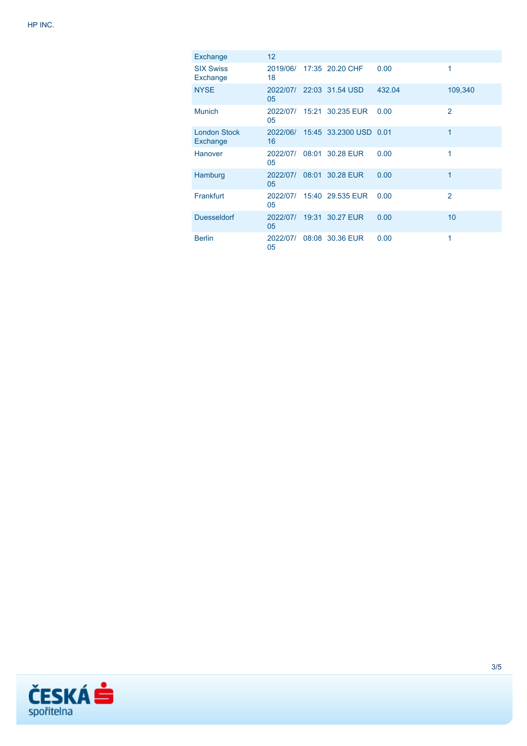| Exchange                        | 12 <sup>2</sup> |                                 |        |                |
|---------------------------------|-----------------|---------------------------------|--------|----------------|
| <b>SIX Swiss</b><br>Exchange    | 18              | 2019/06/ 17:35 20.20 CHF        | 0.00   | 1              |
| <b>NYSE</b>                     | 05              | 2022/07/ 22:03 31.54 USD        | 432.04 | 109,340        |
| <b>Munich</b>                   | 2022/07/<br>05  | 15:21 30.235 EUR                | 0.00   | $\overline{2}$ |
| <b>London Stock</b><br>Exchange | 16              | 2022/06/ 15:45 33.2300 USD 0.01 |        | 1              |
| Hanover                         | 2022/07/<br>05  | 08:01 30.28 EUR                 | 0.00   | 1              |
| Hamburg                         | 2022/07/<br>05  | 08:01 30.28 EUR                 | 0.00   | 1              |
| Frankfurt                       | 05              | 2022/07/ 15:40 29.535 EUR       | 0.00   | $\overline{2}$ |
| <b>Duesseldorf</b>              | 2022/07/<br>05  | 19:31 30.27 EUR                 | 0.00   | 10             |
| <b>Berlin</b>                   | 2022/07/<br>05  | 08:08 30.36 EUR                 | 0.00   | 1              |

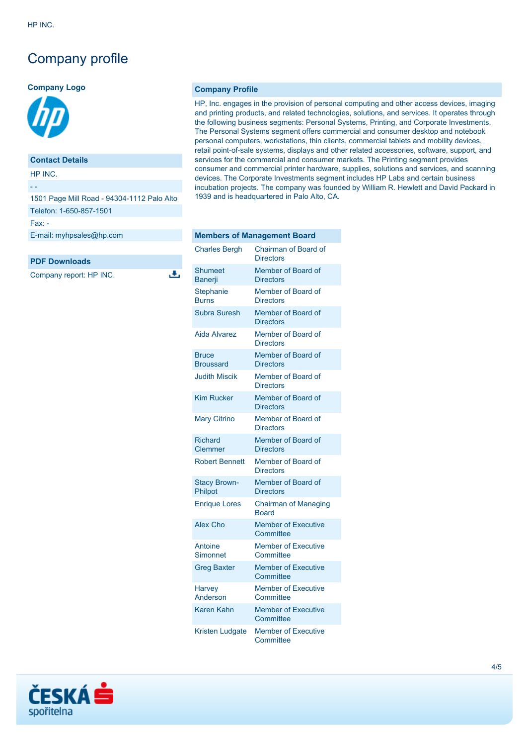# Company profile

#### **Company Logo**



### **Contact Details**

HP INC.

- -

| 1501 Page Mill Road - 94304-1112 Palo Alto |
|--------------------------------------------|
| Telefon: 1-650-857-1501                    |
| $Fax -$                                    |
| E-mail: myhpsales@hp.com                   |

J.

#### **PDF Downloads**

Company report: HP INC.

#### **Company Profile**

HP, Inc. engages in the provision of personal computing and other access devices, imaging and printing products, and related technologies, solutions, and services. It operates through the following business segments: Personal Systems, Printing, and Corporate Investments. The Personal Systems segment offers commercial and consumer desktop and notebook personal computers, workstations, thin clients, commercial tablets and mobility devices, retail point-of-sale systems, displays and other related accessories, software, support, and services for the commercial and consumer markets. The Printing segment provides consumer and commercial printer hardware, supplies, solutions and services, and scanning devices. The Corporate Investments segment includes HP Labs and certain business incubation projects. The company was founded by William R. Hewlett and David Packard in 1939 and is headquartered in Palo Alto, CA.

| <b>Members of Management Board</b> |                                             |  |  |
|------------------------------------|---------------------------------------------|--|--|
| <b>Charles Bergh</b>               | Chairman of Board of<br><b>Directors</b>    |  |  |
| <b>Shumeet</b><br>Banerji          | Member of Board of<br><b>Directors</b>      |  |  |
| <b>Stephanie</b><br><b>Burns</b>   | Member of Board of<br><b>Directors</b>      |  |  |
| <b>Subra Suresh</b>                | Member of Board of<br><b>Directors</b>      |  |  |
| <b>Aida Alvarez</b>                | Member of Board of<br><b>Directors</b>      |  |  |
| <b>Bruce</b><br><b>Broussard</b>   | Member of Board of<br><b>Directors</b>      |  |  |
| <b>Judith Miscik</b>               | Member of Board of<br><b>Directors</b>      |  |  |
| <b>Kim Rucker</b>                  | Member of Board of<br><b>Directors</b>      |  |  |
| <b>Mary Citrino</b>                | Member of Board of<br><b>Directors</b>      |  |  |
| <b>Richard</b><br><b>Clemmer</b>   | Member of Board of<br><b>Directors</b>      |  |  |
| <b>Robert Bennett</b>              | Member of Board of<br><b>Directors</b>      |  |  |
| <b>Stacy Brown-</b><br>Philpot     | Member of Board of<br><b>Directors</b>      |  |  |
| <b>Enrique Lores</b>               | <b>Chairman of Managing</b><br><b>Board</b> |  |  |
| <b>Alex Cho</b>                    | <b>Member of Executive</b><br>Committee     |  |  |
| Antoine<br>Simonnet                | <b>Member of Executive</b><br>Committee     |  |  |
| <b>Greg Baxter</b>                 | <b>Member of Executive</b><br>Committee     |  |  |
| <b>Harvey</b><br>Anderson          | <b>Member of Executive</b><br>Committee     |  |  |
| Karen Kahn                         | <b>Member of Executive</b><br>Committee     |  |  |
| <b>Kristen Ludgate</b>             | <b>Member of Executive</b><br>Committee     |  |  |